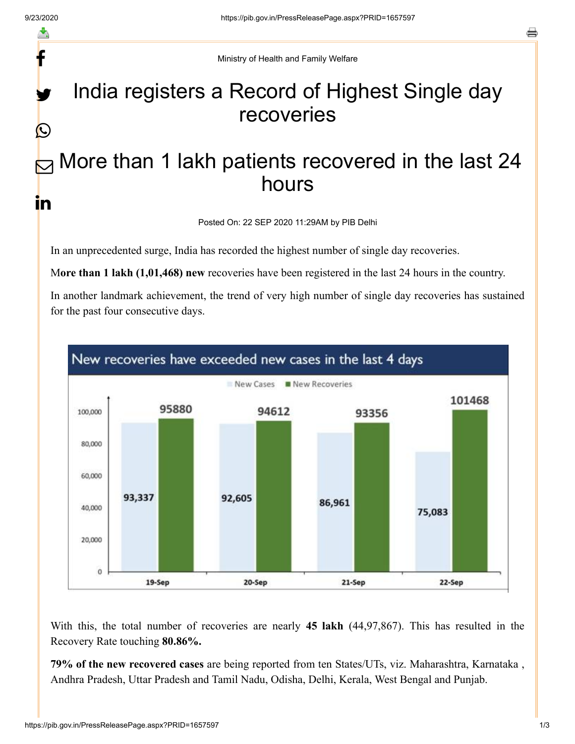f

y.

 $\bigcirc$ 

s.

Ministry of Health and Family Welfare

## India registers a Record of Highest Single day recoveries

## More than 1 lakh patients recovered in the last 24 hours  $\bm{\nabla}$ <u>in</u>

Posted On: 22 SEP 2020 11:29AM by PIB Delhi

In an unprecedented surge, India has recorded the highest number of single day recoveries.

M**ore than 1 lakh (1,01,468) new** recoveries have been registered in the last 24 hours in the country.

In another landmark achievement, the trend of very high number of single day recoveries has sustained for the past four consecutive days.



With this, the total number of recoveries are nearly **45 lakh** (44,97,867). This has resulted in the Recovery Rate touching **80.86%.** 

**79% of the new recovered cases** are being reported from ten States/UTs, viz. Maharashtra, Karnataka , Andhra Pradesh, Uttar Pradesh and Tamil Nadu, Odisha, Delhi, Kerala, West Bengal and Punjab.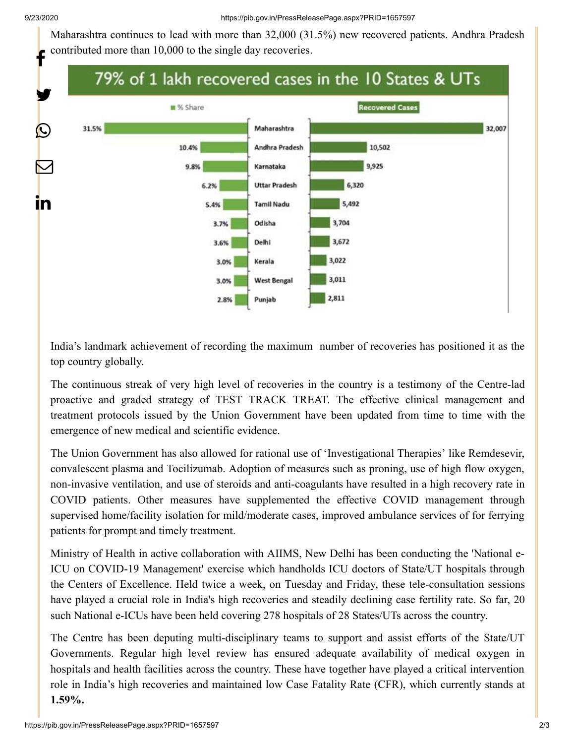Maharashtra continues to lead with more than 32,000 (31.5%) new recovered patients. Andhra Pradesh contributed more than 10,000 to the single day recoveries.



India's landmark achievement of recording the maximum number of recoveries has positioned it as the top country globally.

The continuous streak of very high level of recoveries in the country is a testimony of the Centre-lad proactive and graded strategy of TEST TRACK TREAT. The effective clinical management and treatment protocols issued by the Union Government have been updated from time to time with the emergence of new medical and scientific evidence.

The Union Government has also allowed for rational use of 'Investigational Therapies' like Remdesevir, convalescent plasma and Tocilizumab. Adoption of measures such as proning, use of high flow oxygen, non-invasive ventilation, and use of steroids and anti-coagulants have resulted in a high recovery rate in COVID patients. Other measures have supplemented the effective COVID management through supervised home/facility isolation for mild/moderate cases, improved ambulance services of for ferrying patients for prompt and timely treatment.

Ministry of Health in active collaboration with AIIMS, New Delhi has been conducting the 'National e-ICU on COVID-19 Management' exercise which handholds ICU doctors of State/UT hospitals through the Centers of Excellence. Held twice a week, on Tuesday and Friday, these tele-consultation sessions have played a crucial role in India's high recoveries and steadily declining case fertility rate. So far, 20 such National e-ICUs have been held covering 278 hospitals of 28 States/UTs across the country.

The Centre has been deputing multi-disciplinary teams to support and assist efforts of the State/UT Governments. Regular high level review has ensured adequate availability of medical oxygen in hospitals and health facilities across the country. These have together have played a critical intervention role in India's high recoveries and maintained low Case Fatality Rate (CFR), which currently stands at **1.59%.**